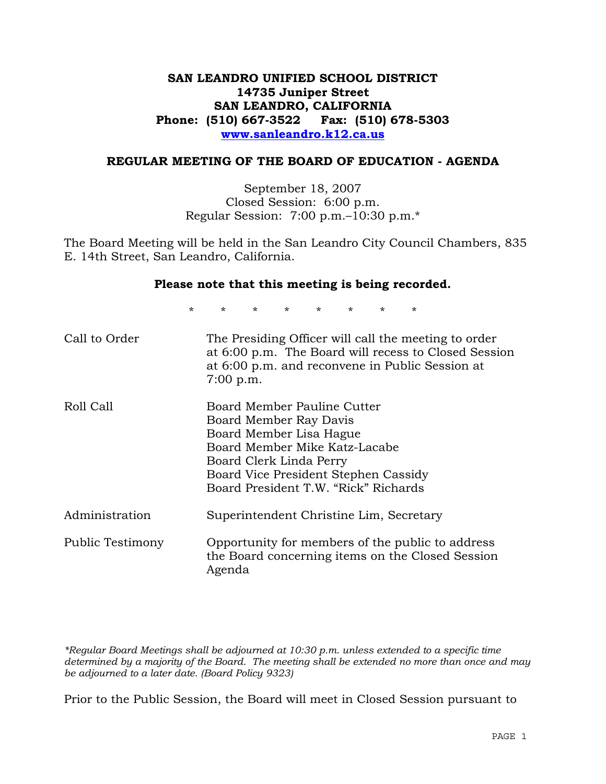# **SAN LEANDRO UNIFIED SCHOOL DISTRICT 14735 Juniper Street SAN LEANDRO, CALIFORNIA Phone: (510) 667-3522 Fax: (510) 678-5303 www.sanleandro.k12.ca.us**

#### **REGULAR MEETING OF THE BOARD OF EDUCATION - AGENDA**

September 18, 2007 Closed Session: 6:00 p.m. Regular Session: 7:00 p.m.–10:30 p.m.\*

The Board Meeting will be held in the San Leandro City Council Chambers, 835 E. 14th Street, San Leandro, California.

#### **Please note that this meeting is being recorded.**

\* \* \* \* \* \* \* \*

| Call to Order    | The Presiding Officer will call the meeting to order<br>at 6:00 p.m. The Board will recess to Closed Session<br>at 6:00 p.m. and reconvene in Public Session at<br>$7:00$ p.m.                                               |
|------------------|------------------------------------------------------------------------------------------------------------------------------------------------------------------------------------------------------------------------------|
| Roll Call        | Board Member Pauline Cutter<br>Board Member Ray Davis<br>Board Member Lisa Hague<br>Board Member Mike Katz-Lacabe<br>Board Clerk Linda Perry<br>Board Vice President Stephen Cassidy<br>Board President T.W. "Rick" Richards |
| Administration   | Superintendent Christine Lim, Secretary                                                                                                                                                                                      |
| Public Testimony | Opportunity for members of the public to address<br>the Board concerning items on the Closed Session<br>Agenda                                                                                                               |

*\*Regular Board Meetings shall be adjourned at 10:30 p.m. unless extended to a specific time determined by a majority of the Board. The meeting shall be extended no more than once and may be adjourned to a later date. (Board Policy 9323)* 

Prior to the Public Session, the Board will meet in Closed Session pursuant to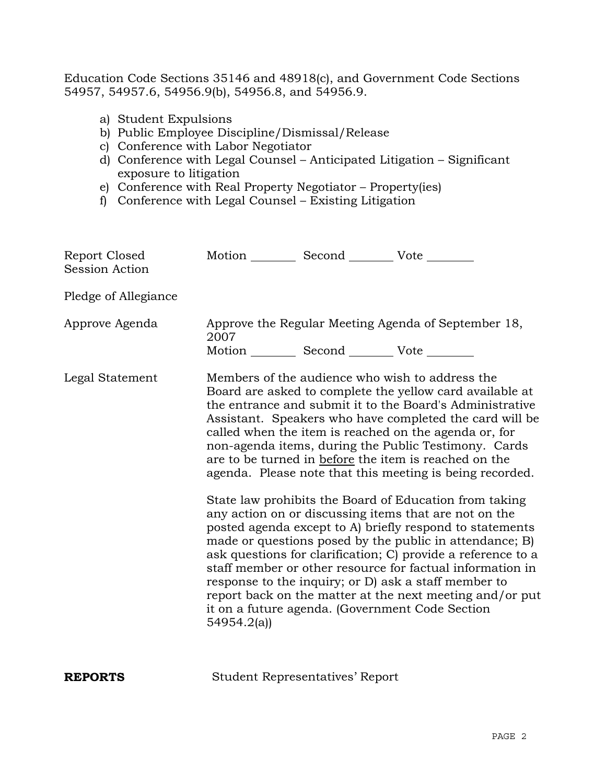Education Code Sections 35146 and 48918(c), and Government Code Sections 54957, 54957.6, 54956.9(b), 54956.8, and 54956.9.

- a) Student Expulsions
- b) Public Employee Discipline/Dismissal/Release
- c) Conference with Labor Negotiator
- d) Conference with Legal Counsel Anticipated Litigation Significant exposure to litigation
- e) Conference with Real Property Negotiator Property(ies)
- f) Conference with Legal Counsel Existing Litigation

| Report Closed<br><b>Session Action</b> | Motion __________ Second __________ Vote ________               |                                                                                                                                                                                                                                                                                                                                                                                                                                                                                                                                                                                                                                                                                                                                                                                                                                                                                                                                                                                                                        |
|----------------------------------------|-----------------------------------------------------------------|------------------------------------------------------------------------------------------------------------------------------------------------------------------------------------------------------------------------------------------------------------------------------------------------------------------------------------------------------------------------------------------------------------------------------------------------------------------------------------------------------------------------------------------------------------------------------------------------------------------------------------------------------------------------------------------------------------------------------------------------------------------------------------------------------------------------------------------------------------------------------------------------------------------------------------------------------------------------------------------------------------------------|
| Pledge of Allegiance                   |                                                                 |                                                                                                                                                                                                                                                                                                                                                                                                                                                                                                                                                                                                                                                                                                                                                                                                                                                                                                                                                                                                                        |
| Approve Agenda                         | 2007                                                            | Approve the Regular Meeting Agenda of September 18,                                                                                                                                                                                                                                                                                                                                                                                                                                                                                                                                                                                                                                                                                                                                                                                                                                                                                                                                                                    |
| Legal Statement                        | Motion __________ Second __________ Vote ________<br>54954.2(a) | Members of the audience who wish to address the<br>Board are asked to complete the yellow card available at<br>the entrance and submit it to the Board's Administrative<br>Assistant. Speakers who have completed the card will be<br>called when the item is reached on the agenda or, for<br>non-agenda items, during the Public Testimony. Cards<br>are to be turned in before the item is reached on the<br>agenda. Please note that this meeting is being recorded.<br>State law prohibits the Board of Education from taking<br>any action on or discussing items that are not on the<br>posted agenda except to A) briefly respond to statements<br>made or questions posed by the public in attendance; B)<br>ask questions for clarification; C) provide a reference to a<br>staff member or other resource for factual information in<br>response to the inquiry; or D) ask a staff member to<br>report back on the matter at the next meeting and/or put<br>it on a future agenda. (Government Code Section |

**REPORTS** Student Representatives' Report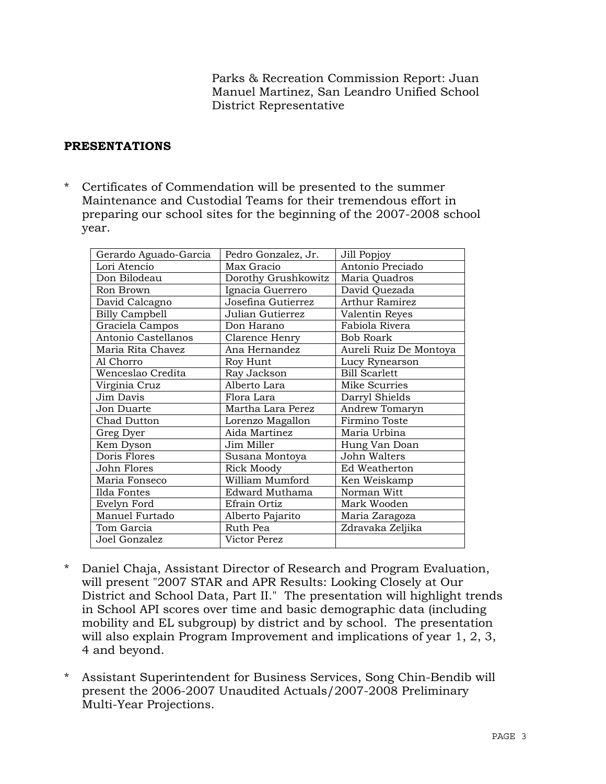Parks & Recreation Commission Report: Juan Manuel Martinez, San Leandro Unified School District Representative

# **PRESENTATIONS**

\* Certificates of Commendation will be presented to the summer Maintenance and Custodial Teams for their tremendous effort in preparing our school sites for the beginning of the 2007-2008 school year.

| Gerardo Aguado-Garcia | Pedro Gonzalez, Jr. | Jill Popjoy            |
|-----------------------|---------------------|------------------------|
| Lori Atencio          | Max Gracio          | Antonio Preciado       |
| Don Bilodeau          | Dorothy Grushkowitz | Maria Quadros          |
| Ron Brown             | Ignacia Guerrero    | David Quezada          |
| David Calcagno        | Josefina Gutierrez  | <b>Arthur Ramirez</b>  |
| <b>Billy Campbell</b> | Julian Gutierrez    | Valentin Reyes         |
| Graciela Campos       | Don Harano          | Fabiola Rivera         |
| Antonio Castellanos   | Clarence Henry      | <b>Bob Roark</b>       |
| Maria Rita Chavez     | Ana Hernandez       | Aureli Ruiz De Montoya |
| Al Chorro             | Roy Hunt            | Lucy Rynearson         |
| Wenceslao Credita     | Ray Jackson         | <b>Bill Scarlett</b>   |
| Virginia Cruz         | Alberto Lara        | Mike Scurries          |
| Jim Davis             | Flora Lara          | Darryl Shields         |
| Jon Duarte            | Martha Lara Perez   | Andrew Tomaryn         |
| Chad Dutton           | Lorenzo Magallon    | Firmino Toste          |
| Greg Dyer             | Aida Martinez       | Maria Urbina           |
| Kem Dyson             | Jim Miller          | Hung Van Doan          |
| Doris Flores          | Susana Montoya      | John Walters           |
| John Flores           | Rick Moody          | Ed Weatherton          |
| Maria Fonseco         | William Mumford     | Ken Weiskamp           |
| Ilda Fontes           | Edward Muthama      | Norman Witt            |
| Evelyn Ford           | Efrain Ortiz        | Mark Wooden            |
| Manuel Furtado        | Alberto Pajarito    | Maria Zaragoza         |
| Tom Garcia            | Ruth Pea            | Zdravaka Zeljika       |
| Joel Gonzalez         | Victor Perez        |                        |

- \* Daniel Chaja, Assistant Director of Research and Program Evaluation, will present "2007 STAR and APR Results: Looking Closely at Our District and School Data, Part II." The presentation will highlight trends in School API scores over time and basic demographic data (including mobility and EL subgroup) by district and by school. The presentation will also explain Program Improvement and implications of year 1, 2, 3, 4 and beyond.
- \* Assistant Superintendent for Business Services, Song Chin-Bendib will present the 2006-2007 Unaudited Actuals/2007-2008 Preliminary Multi-Year Projections.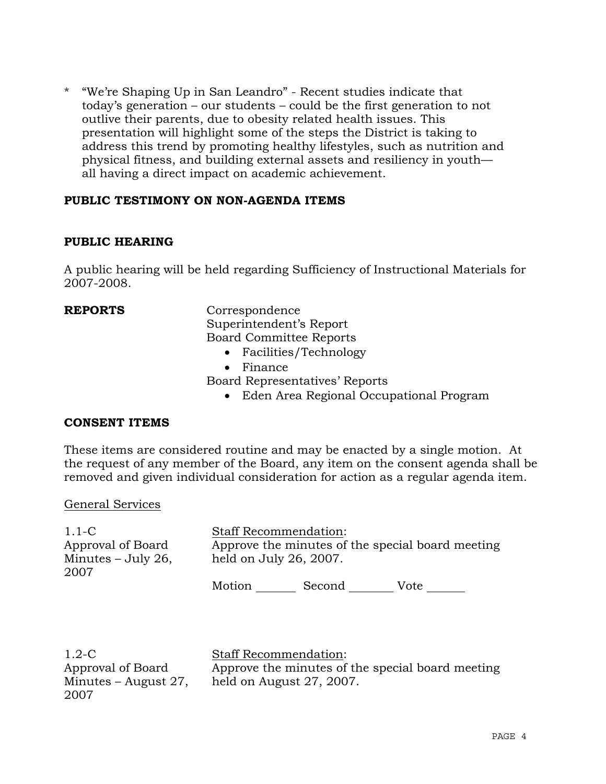\* "We're Shaping Up in San Leandro" - Recent studies indicate that today's generation – our students – could be the first generation to not outlive their parents, due to obesity related health issues. This presentation will highlight some of the steps the District is taking to address this trend by promoting healthy lifestyles, such as nutrition and physical fitness, and building external assets and resiliency in youth all having a direct impact on academic achievement.

# **PUBLIC TESTIMONY ON NON-AGENDA ITEMS**

# **PUBLIC HEARING**

A public hearing will be held regarding Sufficiency of Instructional Materials for 2007-2008.

**REPORTS** Correspondence Superintendent's Report Board Committee Reports

- Facilities/Technology
- Finance

Board Representatives' Reports

• Eden Area Regional Occupational Program

## **CONSENT ITEMS**

These items are considered routine and may be enacted by a single motion. At the request of any member of the Board, any item on the consent agenda shall be removed and given individual consideration for action as a regular agenda item.

#### General Services

| $1.1-C$              |        | <b>Staff Recommendation:</b>                     |      |  |
|----------------------|--------|--------------------------------------------------|------|--|
| Approval of Board    |        | Approve the minutes of the special board meeting |      |  |
| Minutes $-$ July 26, |        | held on July 26, 2007.                           |      |  |
| 2007                 |        |                                                  |      |  |
|                      | Motion | Second                                           | Vote |  |

1.2-C Approval of Board Minutes – August 27, 2007

Staff Recommendation: Approve the minutes of the special board meeting held on August 27, 2007.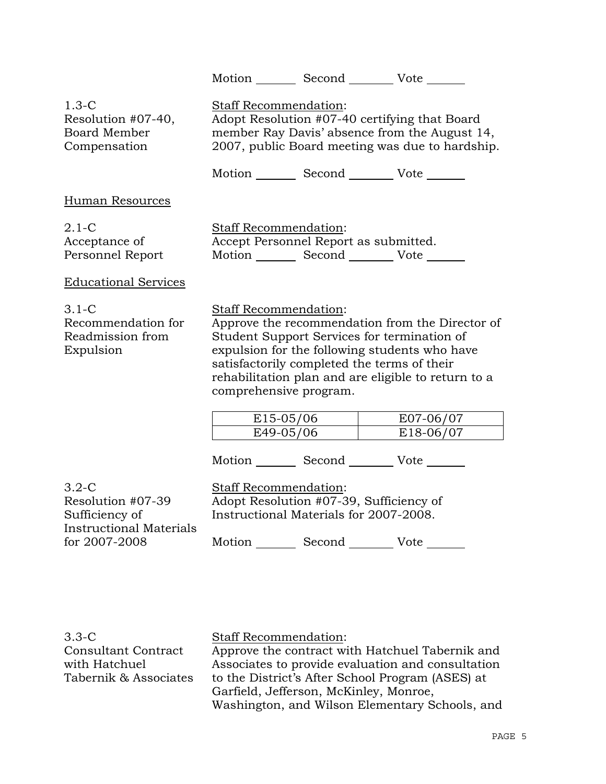|                                                                                  |                                                                                                                                                                                                                                                                                                          | Motion Second Vote                                                                |                                                                                                  |
|----------------------------------------------------------------------------------|----------------------------------------------------------------------------------------------------------------------------------------------------------------------------------------------------------------------------------------------------------------------------------------------------------|-----------------------------------------------------------------------------------|--------------------------------------------------------------------------------------------------|
| $1.3-C$<br>Resolution #07-40,<br><b>Board Member</b><br>Compensation             | Staff Recommendation:                                                                                                                                                                                                                                                                                    | Adopt Resolution #07-40 certifying that Board                                     | member Ray Davis' absence from the August 14,<br>2007, public Board meeting was due to hardship. |
|                                                                                  |                                                                                                                                                                                                                                                                                                          | Motion Second Vote                                                                |                                                                                                  |
| <b>Human Resources</b>                                                           |                                                                                                                                                                                                                                                                                                          |                                                                                   |                                                                                                  |
| $2.1-C$<br>Acceptance of<br>Personnel Report                                     | Staff Recommendation:                                                                                                                                                                                                                                                                                    | Accept Personnel Report as submitted.<br>Motion Second Vote                       |                                                                                                  |
| <b>Educational Services</b>                                                      |                                                                                                                                                                                                                                                                                                          |                                                                                   |                                                                                                  |
| $3.1-C$<br>Recommendation for<br>Readmission from<br>Expulsion                   | Staff Recommendation:<br>Approve the recommendation from the Director of<br>Student Support Services for termination of<br>expulsion for the following students who have<br>satisfactorily completed the terms of their<br>rehabilitation plan and are eligible to return to a<br>comprehensive program. |                                                                                   |                                                                                                  |
|                                                                                  | E15-05/06                                                                                                                                                                                                                                                                                                |                                                                                   | E07-06/07                                                                                        |
|                                                                                  | E49-05/06                                                                                                                                                                                                                                                                                                |                                                                                   | E18-06/07                                                                                        |
|                                                                                  |                                                                                                                                                                                                                                                                                                          | Motion Second Vote                                                                |                                                                                                  |
| $3.2-C$<br>Resolution #07-39<br>Sufficiency of<br><b>Instructional Materials</b> | Staff Recommendation:                                                                                                                                                                                                                                                                                    | Adopt Resolution #07-39, Sufficiency of<br>Instructional Materials for 2007-2008. |                                                                                                  |
| for 2007-2008                                                                    | Motion                                                                                                                                                                                                                                                                                                   | Second                                                                            | Vote                                                                                             |

3.3-C Consultant Contract with Hatchuel Tabernik & Associates

Staff Recommendation: Approve the contract with Hatchuel Tabernik and Associates to provide evaluation and consultation to the District's After School Program (ASES) at Garfield, Jefferson, McKinley, Monroe, Washington, and Wilson Elementary Schools, and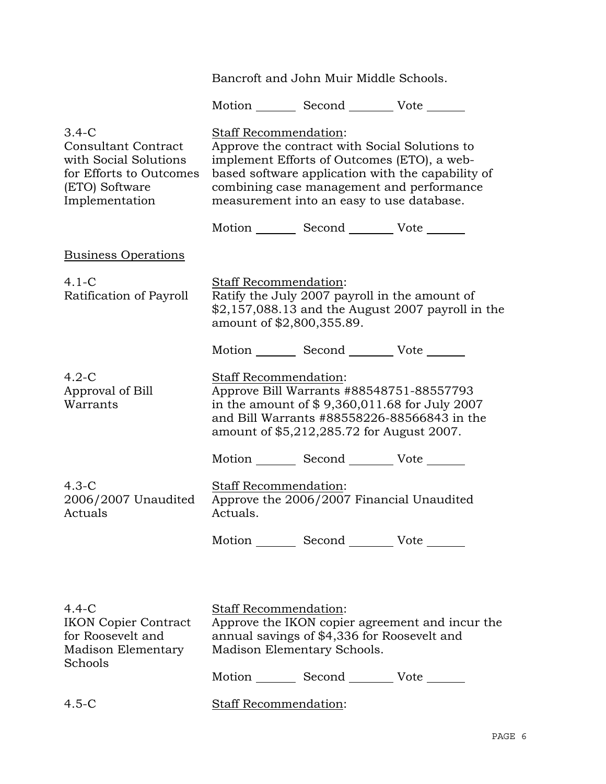Bancroft and John Muir Middle Schools.

Motion \_\_\_\_\_\_\_\_ Second \_\_\_\_\_\_\_\_\_ Vote \_\_\_\_\_\_\_

| $3.4-C$<br><b>Consultant Contract</b><br>with Social Solutions<br>for Efforts to Outcomes<br>(ETO) Software<br>Implementation | Staff Recommendation:<br>Approve the contract with Social Solutions to<br>implement Efforts of Outcomes (ETO), a web-<br>based software application with the capability of<br>combining case management and performance<br>measurement into an easy to use database. |                                                 |                                                    |
|-------------------------------------------------------------------------------------------------------------------------------|----------------------------------------------------------------------------------------------------------------------------------------------------------------------------------------------------------------------------------------------------------------------|-------------------------------------------------|----------------------------------------------------|
|                                                                                                                               |                                                                                                                                                                                                                                                                      | Motion _________ Second __________ Vote _______ |                                                    |
| <b>Business Operations</b>                                                                                                    |                                                                                                                                                                                                                                                                      |                                                 |                                                    |
| $4.1 - C$<br>Ratification of Payroll                                                                                          | Staff Recommendation:<br>amount of \$2,800,355.89.                                                                                                                                                                                                                   | Ratify the July 2007 payroll in the amount of   | $$2,157,088.13$ and the August 2007 payroll in the |
|                                                                                                                               |                                                                                                                                                                                                                                                                      | Motion _________ Second __________ Vote _______ |                                                    |
| $4.2-C$<br>Approval of Bill<br>Warrants                                                                                       | <b>Staff Recommendation:</b><br>Approve Bill Warrants #88548751-88557793<br>in the amount of $$9,360,011.68$ for July 2007<br>and Bill Warrants #88558226-88566843 in the<br>amount of \$5,212,285.72 for August 2007.                                               |                                                 |                                                    |
|                                                                                                                               |                                                                                                                                                                                                                                                                      | Motion _________ Second __________ Vote _______ |                                                    |
| $4.3-C$<br>2006/2007 Unaudited<br>Actuals                                                                                     | Staff Recommendation:<br>Actuals.                                                                                                                                                                                                                                    | Approve the 2006/2007 Financial Unaudited       |                                                    |
|                                                                                                                               |                                                                                                                                                                                                                                                                      | Motion _________ Second __________ Vote _______ |                                                    |
|                                                                                                                               |                                                                                                                                                                                                                                                                      |                                                 |                                                    |
| $4.4 - C$<br><b>IKON Copier Contract</b><br>for Roosevelt and<br><b>Madison Elementary</b><br>Schools                         | Staff Recommendation:<br>Approve the IKON copier agreement and incur the<br>annual savings of \$4,336 for Roosevelt and<br>Madison Elementary Schools.                                                                                                               |                                                 |                                                    |
|                                                                                                                               |                                                                                                                                                                                                                                                                      | Motion _________ Second __________ Vote _______ |                                                    |

4.5-C Staff Recommendation: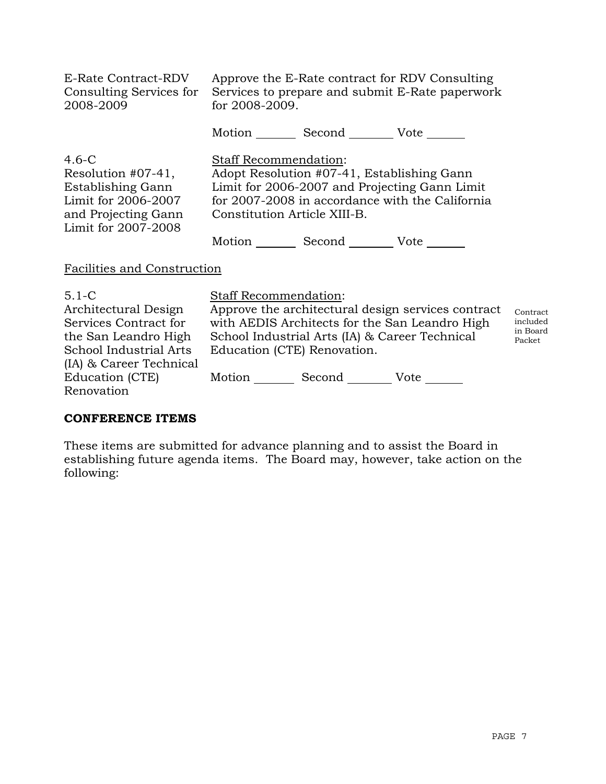| E-Rate Contract-RDV<br>Consulting Services for<br>2008-2009                                                                | for 2008-2009.                                               |                                                                  | Approve the E-Rate contract for RDV Consulting<br>Services to prepare and submit E-Rate paperwork    |                                                      |
|----------------------------------------------------------------------------------------------------------------------------|--------------------------------------------------------------|------------------------------------------------------------------|------------------------------------------------------------------------------------------------------|------------------------------------------------------|
|                                                                                                                            |                                                              | Motion _________ Second __________ Vote _______                  |                                                                                                      |                                                      |
| $4.6-C$<br>Resolution $#07-41$ ,<br>Establishing Gann<br>Limit for 2006-2007<br>and Projecting Gann<br>Limit for 2007-2008 | <b>Staff Recommendation:</b><br>Constitution Article XIII-B. | Adopt Resolution #07-41, Establishing Gann<br>Motion Second Vote | Limit for 2006-2007 and Projecting Gann Limit<br>for 2007-2008 in accordance with the California     |                                                      |
| Facilities and Construction                                                                                                |                                                              |                                                                  |                                                                                                      |                                                      |
| $5.1 - C$<br>Architectural Design<br>Services Contract for                                                                 | <b>Staff Recommendation:</b>                                 |                                                                  | Approve the architectural design services contract<br>with AEDIS Architects for the San Leandro High | Contrac<br>includeo<br>$\mathbf{a} \cdot \mathbf{b}$ |

the San Leandro High School Industrial Arts (IA) & Career Technical School Industrial Arts (IA) & Career Technical Education (CTE) Renovation. Motion Second Vote \_\_\_\_\_\_

 $\dot{t}$  $\mathfrak d$ in Board Packet

# **CONFERENCE ITEMS**

Education (CTE) Renovation

These items are submitted for advance planning and to assist the Board in establishing future agenda items. The Board may, however, take action on the following: